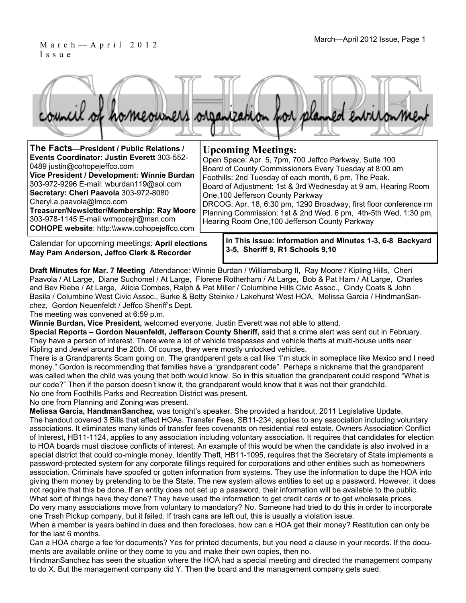### March—April 2012 Issue, Page 1 March—April 2012 Issue, Page 1 Issue



| The Facts-President / Public Relations /<br>Events Coordinator: Justin Everett 303-552-<br>0489 justin@cohopejeffco.com<br>Vice President / Development: Winnie Burdan<br>303-972-9296 E-mail: wburdan119@aol.com<br>Secretary: Cheri Paavola 303-972-8080<br>Cheryl.a.paavola@Imco.com<br>Treasurer/Newsletter/Membership: Ray Moore  <br>303-978-1145 E-mail wrmoorejr@msn.com<br><b>COHOPE website: http://www.cohopejeffco.com</b> | <b>Upcoming Meetings:</b><br>Open Space: Apr. 5, 7pm, 700 Jeffco Parkway, Suite 100<br>Board of County Commissioners Every Tuesday at 8:00 am<br>Foothills: 2nd Tuesday of each month, 6 pm, The Peak.<br>Board of Adjustment: 1st & 3rd Wednesday at 9 am, Hearing Room<br>One, 100 Jefferson County Parkway<br>DRCOG: Apr. 18, 6:30 pm, 1290 Broadway, first floor conference rm<br>Planning Commission: 1st & 2nd Wed. 6 pm, 4th-5th Wed, 1:30 pm,<br>Hearing Room One, 100 Jefferson County Parkway |
|----------------------------------------------------------------------------------------------------------------------------------------------------------------------------------------------------------------------------------------------------------------------------------------------------------------------------------------------------------------------------------------------------------------------------------------|---------------------------------------------------------------------------------------------------------------------------------------------------------------------------------------------------------------------------------------------------------------------------------------------------------------------------------------------------------------------------------------------------------------------------------------------------------------------------------------------------------|
|                                                                                                                                                                                                                                                                                                                                                                                                                                        |                                                                                                                                                                                                                                                                                                                                                                                                                                                                                                         |

Calendar for upcoming meetings: **April elections May Pam Anderson, Jeffco Clerk & Recorder** 

**In This Issue: Information and Minutes 1-3, 6-8 Backyard 3-5, Sheriff 9, R1 Schools 9,10** 

**Draft Minutes for Mar. 7 Meeting** Attendance: Winnie Burdan / Williamsburg II, Ray Moore / Kipling Hills, Cheri Paavola / At Large, Diane Suchomel / At Large, Florene Rotherham / At Large, Bob & Pat Ham / At Large, Charles and Bev Riebe / At Large, Alicia Combes, Ralph & Pat Miller / Columbine Hills Civic Assoc., Cindy Coats & John Basila / Columbine West Civic Assoc., Burke & Betty Steinke / Lakehurst West HOA, Melissa Garcia / HindmanSanchez, Gordon Neuenfeldt / Jeffco Sheriff's Dept.

The meeting was convened at 6:59 p.m.

**Winnie Burdan, Vice President,** welcomed everyone. Justin Everett was not able to attend.

**Special Reports – Gordon Neuenfeldt, Jefferson County Sheriff,** said that a crime alert was sent out in February. They have a person of interest. There were a lot of vehicle trespasses and vehicle thefts at multi-house units near Kipling and Jewel around the 20th. Of course, they were mostly unlocked vehicles.

There is a Grandparents Scam going on. The grandparent gets a call like "I'm stuck in someplace like Mexico and I need money." Gordon is recommending that families have a "grandparent code". Perhaps a nickname that the grandparent was called when the child was young that both would know. So in this situation the grandparent could respond "What is our code?" Then if the person doesn't know it, the grandparent would know that it was not their grandchild. No one from Foothills Parks and Recreation District was present.

No one from Planning and Zoning was present.

**Melissa Garcia, HandmanSanchez,** was tonight's speaker. She provided a handout, 2011 Legislative Update. The handout covered 3 Bills that affect HOAs. Transfer Fees, SB11-234, applies to any association including voluntary associations. It eliminates many kinds of transfer fees covenants on residential real estate. Owners Association Conflict of Interest, HB11-1124, applies to any association including voluntary association. It requires that candidates for election to HOA boards must disclose conflicts of interest. An example of this would be when the candidate is also involved in a special district that could co-mingle money. Identity Theft, HB11-1095, requires that the Secretary of State implements a password-protected system for any corporate fillings required for corporations and other entities such as homeowners association. Criminals have spoofed or gotten information from systems. They use the information to dupe the HOA into giving them money by pretending to be the State. The new system allows entities to set up a password. However, it does not require that this be done. If an entity does not set up a password, their information will be available to the public. What sort of things have they done? They have used the information to get credit cards or to get wholesale prices.

Do very many associations move from voluntary to mandatory? No. Someone had tried to do this in order to incorporate one Trash Pickup company, but it failed. If trash cans are left out, this is usually a violation issue.

When a member is years behind in dues and then forecloses, how can a HOA get their money? Restitution can only be for the last 6 months.

Can a HOA charge a fee for documents? Yes for printed documents, but you need a clause in your records. If the documents are available online or they come to you and make their own copies, then no.

HindmanSanchez has seen the situation where the HOA had a special meeting and directed the management company to do X. But the management company did Y. Then the board and the management company gets sued.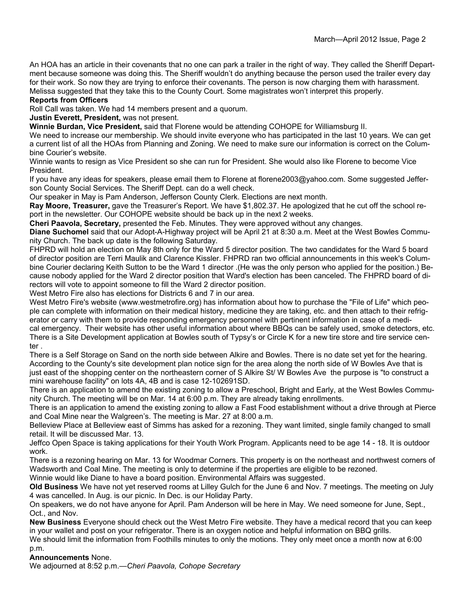An HOA has an article in their covenants that no one can park a trailer in the right of way. They called the Sheriff Department because someone was doing this. The Sheriff wouldn't do anything because the person used the trailer every day for their work. So now they are trying to enforce their covenants. The person is now charging them with harassment. Melissa suggested that they take this to the County Court. Some magistrates won't interpret this properly.

#### **Reports from Officers**

Roll Call was taken. We had 14 members present and a quorum.

**Justin Everett, President,** was not present.

**Winnie Burdan, Vice President,** said that Florene would be attending COHOPE for Williamsburg II.

We need to increase our membership. We should invite everyone who has participated in the last 10 years. We can get a current list of all the HOAs from Planning and Zoning. We need to make sure our information is correct on the Columbine Courier's website.

Winnie wants to resign as Vice President so she can run for President. She would also like Florene to become Vice President.

If you have any ideas for speakers, please email them to Florene at florene2003@yahoo.com. Some suggested Jefferson County Social Services. The Sheriff Dept. can do a well check.

Our speaker in May is Pam Anderson, Jefferson County Clerk. Elections are next month.

**Ray Moore, Treasurer,** gave the Treasurer's Report. We have \$1,802.37. He apologized that he cut off the school report in the newsletter. Our COHOPE website should be back up in the next 2 weeks.

**Cheri Paavola, Secretary,** presented the Feb. Minutes. They were approved without any changes.

**Diane Suchomel** said that our Adopt-A-Highway project will be April 21 at 8:30 a.m. Meet at the West Bowles Community Church. The back up date is the following Saturday.

FHPRD will hold an election on May 8th only for the Ward 5 director position. The two candidates for the Ward 5 board of director position are Terri Maulik and Clarence Kissler. FHPRD ran two official announcements in this week's Columbine Courier declaring Keith Sutton to be the Ward 1 director .(He was the only person who applied for the position.) Because nobody applied for the Ward 2 director position that Ward's election has been canceled. The FHPRD board of directors will vote to appoint someone to fill the Ward 2 director position.

West Metro Fire also has elections for Districts 6 and 7 in our area.

West Metro Fire's website (www.westmetrofire.org) has information about how to purchase the "File of Life" which people can complete with information on their medical history, medicine they are taking, etc. and then attach to their refrigerator or carry with them to provide responding emergency personnel with pertinent information in case of a medical emergency. Their website has other useful information about where BBQs can be safely used, smoke detectors, etc. There is a Site Development application at Bowles south of Typsy's or Circle K for a new tire store and tire service center .

There is a Self Storage on Sand on the north side between Alkire and Bowles. There is no date set yet for the hearing. According to the County's site development plan notice sign for the area along the north side of W Bowles Ave that is just east of the shopping center on the northeastern corner of S Alkire St/ W Bowles Ave the purpose is "to construct a mini warehouse facility" on lots 4A, 4B and is case 12-102691SD.

There is an application to amend the existing zoning to allow a Preschool, Bright and Early, at the West Bowles Community Church. The meeting will be on Mar. 14 at 6:00 p.m. They are already taking enrollments.

There is an application to amend the existing zoning to allow a Fast Food establishment without a drive through at Pierce and Coal Mine near the Walgreen's. The meeting is Mar. 27 at 8:00 a.m.

Belleview Place at Belleview east of Simms has asked for a rezoning. They want limited, single family changed to small retail. It will be discussed Mar. 13.

Jeffco Open Space is taking applications for their Youth Work Program. Applicants need to be age 14 - 18. It is outdoor work.

There is a rezoning hearing on Mar. 13 for Woodmar Corners. This property is on the northeast and northwest corners of Wadsworth and Coal Mine. The meeting is only to determine if the properties are eligible to be rezoned.

Winnie would like Diane to have a board position. Environmental Affairs was suggested.

**Old Business** We have not yet reserved rooms at Lilley Gulch for the June 6 and Nov. 7 meetings. The meeting on July 4 was cancelled. In Aug. is our picnic. In Dec. is our Holiday Party.

On speakers, we do not have anyone for April. Pam Anderson will be here in May. We need someone for June, Sept., Oct., and Nov.

**New Business** Everyone should check out the West Metro Fire website. They have a medical record that you can keep in your wallet and post on your refrigerator. There is an oxygen notice and helpful information on BBQ grills.

We should limit the information from Foothills minutes to only the motions. They only meet once a month now at 6:00 p.m.

#### **Announcements** None.

We adjourned at 8:52 p.m.—*Cheri Paavola, Cohope Secretary*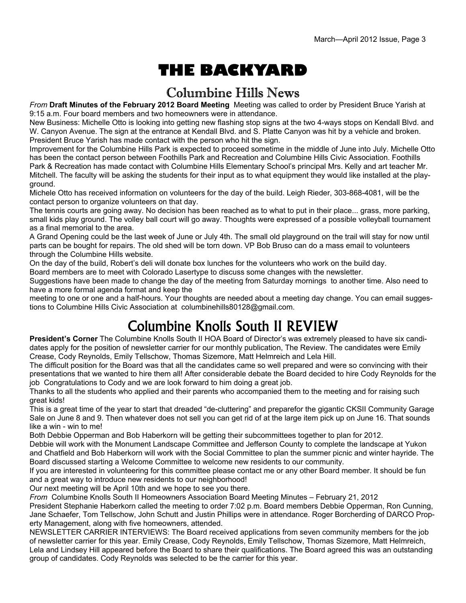# **THE BACKYARD**

### Columbine Hills News

*From* **Draft Minutes of the February 2012 Board Meeting** Meeting was called to order by President Bruce Yarish at 9:15 a.m. Four board members and two homeowners were in attendance.

New Business: Michelle Otto is looking into getting new flashing stop signs at the two 4-ways stops on Kendall Blvd. and W. Canyon Avenue. The sign at the entrance at Kendall Blvd. and S. Platte Canyon was hit by a vehicle and broken. President Bruce Yarish has made contact with the person who hit the sign.

Improvement for the Columbine Hills Park is expected to proceed sometime in the middle of June into July. Michelle Otto has been the contact person between Foothills Park and Recreation and Columbine Hills Civic Association. Foothills Park & Recreation has made contact with Columbine Hills Elementary School's principal Mrs. Kelly and art teacher Mr. Mitchell. The faculty will be asking the students for their input as to what equipment they would like installed at the playground.

Michele Otto has received information on volunteers for the day of the build. Leigh Rieder, 303-868-4081, will be the contact person to organize volunteers on that day.

The tennis courts are going away. No decision has been reached as to what to put in their place... grass, more parking, small kids play ground. The volley ball court will go away. Thoughts were expressed of a possible volleyball tournament as a final memorial to the area.

A Grand Opening could be the last week of June or July 4th. The small old playground on the trail will stay for now until parts can be bought for repairs. The old shed will be torn down. VP Bob Bruso can do a mass email to volunteers through the Columbine Hills website.

On the day of the build, Robert's deli will donate box lunches for the volunteers who work on the build day.

Board members are to meet with Colorado Lasertype to discuss some changes with the newsletter.

Suggestions have been made to change the day of the meeting from Saturday mornings to another time. Also need to have a more formal agenda format and keep the

meeting to one or one and a half-hours. Your thoughts are needed about a meeting day change. You can email suggestions to Columbine Hills Civic Association at columbinehills80128@gmail.com.

## Columbine Knolls South II REVIEW

**President's Corner** The Columbine Knolls South II HOA Board of Director's was extremely pleased to have six candidates apply for the position of newsletter carrier for our monthly publication, The Review. The candidates were Emily Crease, Cody Reynolds, Emily Tellschow, Thomas Sizemore, Matt Helmreich and Lela Hill.

The difficult position for the Board was that all the candidates came so well prepared and were so convincing with their presentations that we wanted to hire them all! After considerable debate the Board decided to hire Cody Reynolds for the job Congratulations to Cody and we are look forward to him doing a great job.

Thanks to all the students who applied and their parents who accompanied them to the meeting and for raising such great kids!

This is a great time of the year to start that dreaded "de-cluttering" and preparefor the gigantic CKSII Community Garage Sale on June 8 and 9. Then whatever does not sell you can get rid of at the large item pick up on June 16. That sounds like a win - win to me!

Both Debbie Opperman and Bob Haberkorn will be getting their subcommittees together to plan for 2012.

Debbie will work with the Monument Landscape Committee and Jefferson County to complete the landscape at Yukon and Chatfield and Bob Haberkorn will work with the Social Committee to plan the summer picnic and winter hayride. The Board discussed starting a Welcome Committee to welcome new residents to our community.

If you are interested in volunteering for this committee please contact me or any other Board member. It should be fun and a great way to introduce new residents to our neighborhood!

Our next meeting will be April 10th and we hope to see you there.

*From* Columbine Knolls South II Homeowners Association Board Meeting Minutes – February 21, 2012

President Stephanie Haberkorn called the meeting to order 7:02 p.m. Board members Debbie Opperman, Ron Cunning, Jane Schaefer, Tom Tellschow, John Schutt and Justin Phillips were in attendance. Roger Borcherding of DARCO Property Management, along with five homeowners, attended.

NEWSLETTER CARRIER INTERVIEWS: The Board received applications from seven community members for the job of newsletter carrier for this year. Emily Crease, Cody Reynolds, Emily Tellschow, Thomas Sizemore, Matt Helmreich, Lela and Lindsey Hill appeared before the Board to share their qualifications. The Board agreed this was an outstanding group of candidates. Cody Reynolds was selected to be the carrier for this year.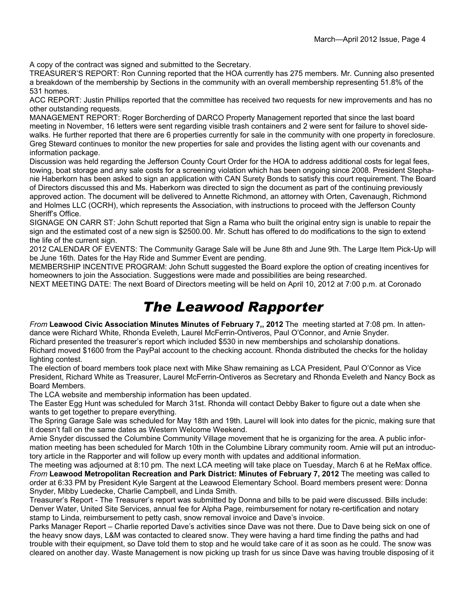A copy of the contract was signed and submitted to the Secretary.

TREASURER'S REPORT: Ron Cunning reported that the HOA currently has 275 members. Mr. Cunning also presented a breakdown of the membership by Sections in the community with an overall membership representing 51.8% of the 531 homes.

ACC REPORT: Justin Phillips reported that the committee has received two requests for new improvements and has no other outstanding requests.

MANAGEMENT REPORT: Roger Borcherding of DARCO Property Management reported that since the last board meeting in November, 16 letters were sent regarding visible trash containers and 2 were sent for failure to shovel sidewalks. He further reported that there are 6 properties currently for sale in the community with one property in foreclosure. Greg Steward continues to monitor the new properties for sale and provides the listing agent with our covenants and information package.

Discussion was held regarding the Jefferson County Court Order for the HOA to address additional costs for legal fees, towing, boat storage and any sale costs for a screening violation which has been ongoing since 2008. President Stephanie Haberkorn has been asked to sign an application with CAN Surety Bonds to satisfy this court requirement. The Board of Directors discussed this and Ms. Haberkorn was directed to sign the document as part of the continuing previously approved action. The document will be delivered to Annette Richmond, an attorney with Orten, Cavenaugh, Richmond and Holmes LLC (OCRH), which represents the Association, with instructions to proceed with the Jefferson County Sheriff's Office.

SIGNAGE ON CARR ST: John Schutt reported that Sign a Rama who built the original entry sign is unable to repair the sign and the estimated cost of a new sign is \$2500.00. Mr. Schutt has offered to do modifications to the sign to extend the life of the current sign.

2012 CALENDAR OF EVENTS: The Community Garage Sale will be June 8th and June 9th. The Large Item Pick-Up will be June 16th. Dates for the Hay Ride and Summer Event are pending.

MEMBERSHIP INCENTIVE PROGRAM: John Schutt suggested the Board explore the option of creating incentives for homeowners to join the Association. Suggestions were made and possibilities are being researched.

NEXT MEETING DATE: The next Board of Directors meeting will be held on April 10, 2012 at 7:00 p.m. at Coronado

### *The Leawood Rapporter*

*From* **Leawood Civic Association Minutes Minutes of February 7,, 2012** The meeting started at 7:08 pm. In attendance were Richard White, Rhonda Eveleth, Laurel McFerrin-Ontiveros, Paul O'Connor, and Arnie Snyder. Richard presented the treasurer's report which included \$530 in new memberships and scholarship donations. Richard moved \$1600 from the PayPal account to the checking account. Rhonda distributed the checks for the holiday

lighting contest. The election of board members took place next with Mike Shaw remaining as LCA President, Paul O'Connor as Vice President, Richard White as Treasurer, Laurel McFerrin-Ontiveros as Secretary and Rhonda Eveleth and Nancy Bock as

Board Members.

The LCA website and membership information has been updated.

The Easter Egg Hunt was scheduled for March 31st. Rhonda will contact Debby Baker to figure out a date when she wants to get together to prepare everything.

The Spring Garage Sale was scheduled for May 18th and 19th. Laurel will look into dates for the picnic, making sure that it doesn't fall on the same dates as Western Welcome Weekend.

Arnie Snyder discussed the Columbine Community Village movement that he is organizing for the area. A public information meeting has been scheduled for March 10th in the Columbine Library community room. Arnie will put an introductory article in the Rapporter and will follow up every month with updates and additional information.

The meeting was adjourned at 8:10 pm. The next LCA meeting will take place on Tuesday, March 6 at he ReMax office. *From* **Leawood Metropolitan Recreation and Park District: Minutes of February 7, 2012** The meeting was called to order at 6:33 PM by President Kyle Sargent at the Leawood Elementary School. Board members present were: Donna Snyder, Mibby Luedecke, Charlie Campbell, and Linda Smith.

Treasurer's Report - The Treasurer's report was submitted by Donna and bills to be paid were discussed. Bills include: Denver Water, United Site Services, annual fee for Alpha Page, reimbursement for notary re-certification and notary stamp to Linda, reimbursement to petty cash, snow removal invoice and Dave's invoice.

Parks Manager Report – Charlie reported Dave's activities since Dave was not there. Due to Dave being sick on one of the heavy snow days, L&M was contacted to cleared snow. They were having a hard time finding the paths and had trouble with their equipment, so Dave told them to stop and he would take care of it as soon as he could. The snow was cleared on another day. Waste Management is now picking up trash for us since Dave was having trouble disposing of it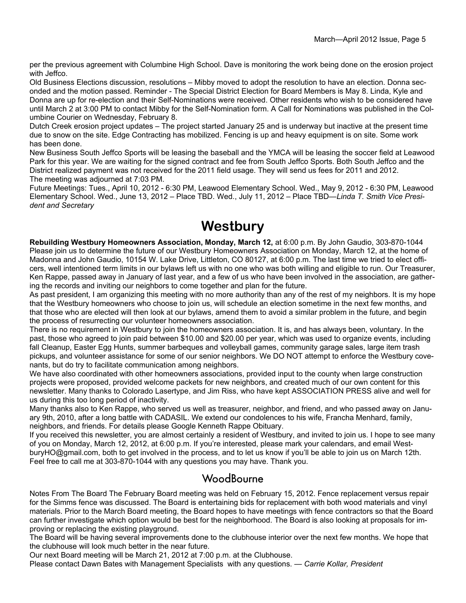per the previous agreement with Columbine High School. Dave is monitoring the work being done on the erosion project with Jeffco.

Old Business Elections discussion, resolutions – Mibby moved to adopt the resolution to have an election. Donna seconded and the motion passed. Reminder - The Special District Election for Board Members is May 8. Linda, Kyle and Donna are up for re-election and their Self-Nominations were received. Other residents who wish to be considered have until March 2 at 3:00 PM to contact Mibby for the Self-Nomination form. A Call for Nominations was published in the Columbine Courier on Wednesday, February 8.

Dutch Creek erosion project updates – The project started January 25 and is underway but inactive at the present time due to snow on the site. Edge Contracting has mobilized. Fencing is up and heavy equipment is on site. Some work has been done.

New Business South Jeffco Sports will be leasing the baseball and the YMCA will be leasing the soccer field at Leawood Park for this year. We are waiting for the signed contract and fee from South Jeffco Sports. Both South Jeffco and the District realized payment was not received for the 2011 field usage. They will send us fees for 2011 and 2012. The meeting was adjourned at 7:03 PM.

Future Meetings: Tues., April 10, 2012 - 6:30 PM, Leawood Elementary School. Wed., May 9, 2012 - 6:30 PM, Leawood Elementary School. Wed., June 13, 2012 – Place TBD. Wed., July 11, 2012 – Place TBD—*Linda T. Smith Vice President and Secretary* 

### **Westbury**

**Rebuilding Westbury Homeowners Association, Monday, March 12,** at 6:00 p.m. By John Gaudio, 303-870-1044 Please join us to determine the future of our Westbury Homeowners Association on Monday, March 12, at the home of Madonna and John Gaudio, 10154 W. Lake Drive, Littleton, CO 80127, at 6:00 p.m. The last time we tried to elect officers, well intentioned term limits in our bylaws left us with no one who was both willing and eligible to run. Our Treasurer, Ken Rappe, passed away in January of last year, and a few of us who have been involved in the association, are gathering the records and inviting our neighbors to come together and plan for the future.

As past president, I am organizing this meeting with no more authority than any of the rest of my neighbors. It is my hope that the Westbury homeowners who choose to join us, will schedule an election sometime in the next few months, and that those who are elected will then look at our bylaws, amend them to avoid a similar problem in the future, and begin the process of resurrecting our volunteer homeowners association.

There is no requirement in Westbury to join the homeowners association. It is, and has always been, voluntary. In the past, those who agreed to join paid between \$10.00 and \$20.00 per year, which was used to organize events, including fall Cleanup, Easter Egg Hunts, summer barbeques and volleyball games, community garage sales, large item trash pickups, and volunteer assistance for some of our senior neighbors. We DO NOT attempt to enforce the Westbury covenants, but do try to facilitate communication among neighbors.

We have also coordinated with other homeowners associations, provided input to the county when large construction projects were proposed, provided welcome packets for new neighbors, and created much of our own content for this newsletter. Many thanks to Colorado Lasertype, and Jim Riss, who have kept ASSOCIATION PRESS alive and well for us during this too long period of inactivity.

Many thanks also to Ken Rappe, who served us well as treasurer, neighbor, and friend, and who passed away on January 9th, 2010, after a long battle with CADASIL. We extend our condolences to his wife, Francha Menhard, family, neighbors, and friends. For details please Google Kenneth Rappe Obituary.

If you received this newsletter, you are almost certainly a resident of Westbury, and invited to join us. I hope to see many of you on Monday, March 12, 2012, at 6:00 p.m. If you're interested, please mark your calendars, and email WestburyHO@gmail.com, both to get involved in the process, and to let us know if you'll be able to join us on March 12th. Feel free to call me at 303-870-1044 with any questions you may have. Thank you.

### **WoodBourne**

Notes From The Board The February Board meeting was held on February 15, 2012. Fence replacement versus repair for the Simms fence was discussed. The Board is entertaining bids for replacement with both wood materials and vinyl materials. Prior to the March Board meeting, the Board hopes to have meetings with fence contractors so that the Board can further investigate which option would be best for the neighborhood. The Board is also looking at proposals for improving or replacing the existing playground.

The Board will be having several improvements done to the clubhouse interior over the next few months. We hope that the clubhouse will look much better in the near future.

Our next Board meeting will be March 21, 2012 at 7:00 p.m. at the Clubhouse.

Please contact Dawn Bates with Management Specialists with any questions. *— Carrie Kollar, President*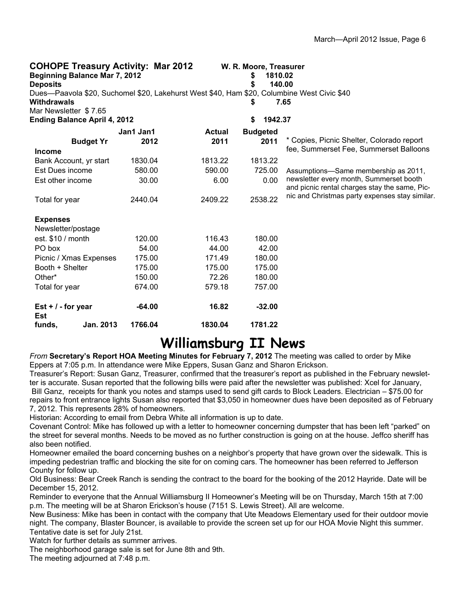| <b>COHOPE Treasury Activity: Mar 2012</b><br><b>Beginning Balance Mar 7, 2012</b><br><b>Deposits</b>      |           |               | W. R. Moore, Treasurer<br>1810.02<br>\$<br>\$ | 140.00                                                                                   |
|-----------------------------------------------------------------------------------------------------------|-----------|---------------|-----------------------------------------------|------------------------------------------------------------------------------------------|
| Dues—Paavola \$20, Suchomel \$20, Lakehurst West \$40, Ham \$20, Columbine West Civic \$40<br>Withdrawals |           |               | \$                                            | 7.65                                                                                     |
| Mar Newsletter \$7.65                                                                                     |           |               |                                               |                                                                                          |
| <b>Ending Balance April 4, 2012</b>                                                                       |           |               | 1942.37<br>\$                                 |                                                                                          |
|                                                                                                           | Jan1 Jan1 | <b>Actual</b> | <b>Budgeted</b>                               |                                                                                          |
| <b>Budget Yr</b>                                                                                          | 2012      | 2011          | 2011                                          | * Copies, Picnic Shelter, Colorado report                                                |
| <b>Income</b>                                                                                             |           |               |                                               | fee, Summerset Fee, Summerset Balloons                                                   |
| Bank Account, yr start                                                                                    | 1830.04   | 1813.22       | 1813.22                                       |                                                                                          |
| Est Dues income                                                                                           | 580.00    | 590.00        | 725.00                                        | Assumptions-Same membership as 2011,                                                     |
| Est other income                                                                                          | 30.00     | 6.00          | 0.00                                          | newsletter every month, Summerset booth<br>and picnic rental charges stay the same, Pic- |
| Total for year                                                                                            | 2440.04   | 2409.22       | 2538.22                                       | nic and Christmas party expenses stay similar.                                           |
| <b>Expenses</b>                                                                                           |           |               |                                               |                                                                                          |
| Newsletter/postage                                                                                        |           |               |                                               |                                                                                          |
| est. \$10 / month                                                                                         | 120.00    | 116.43        | 180.00                                        |                                                                                          |
| PO box                                                                                                    | 54.00     | 44.00         | 42.00                                         |                                                                                          |
| Picnic / Xmas Expenses                                                                                    | 175.00    | 171.49        | 180.00                                        |                                                                                          |
| Booth + Shelter                                                                                           | 175.00    | 175.00        | 175.00                                        |                                                                                          |
| Other*                                                                                                    | 150.00    | 72.26         | 180.00                                        |                                                                                          |
| Total for year                                                                                            | 674.00    | 579.18        | 757.00                                        |                                                                                          |
| Est $+$ / - for year<br><b>Est</b>                                                                        | $-64.00$  | 16.82         | $-32.00$                                      |                                                                                          |
| funds,<br>Jan. 2013                                                                                       | 1766.04   | 1830.04       | 1781.22                                       |                                                                                          |

### **Williamsburg II News**

*From* **Secretary's Report HOA Meeting Minutes for February 7, 2012** The meeting was called to order by Mike Eppers at 7:05 p.m. In attendance were Mike Eppers, Susan Ganz and Sharon Erickson.

Treasurer's Report: Susan Ganz, Treasurer, confirmed that the treasurer's report as published in the February newsletter is accurate. Susan reported that the following bills were paid after the newsletter was published: Xcel for January, Bill Ganz, receipts for thank you notes and stamps used to send gift cards to Block Leaders. Electrician – \$75.00 for repairs to front entrance lights Susan also reported that \$3,050 in homeowner dues have been deposited as of February 7, 2012. This represents 28% of homeowners.

Historian: According to email from Debra White all information is up to date.

Covenant Control: Mike has followed up with a letter to homeowner concerning dumpster that has been left "parked" on the street for several months. Needs to be moved as no further construction is going on at the house. Jeffco sheriff has also been notified.

Homeowner emailed the board concerning bushes on a neighbor's property that have grown over the sidewalk. This is impeding pedestrian traffic and blocking the site for on coming cars. The homeowner has been referred to Jefferson County for follow up.

Old Business: Bear Creek Ranch is sending the contract to the board for the booking of the 2012 Hayride. Date will be December 15, 2012.

Reminder to everyone that the Annual Williamsburg II Homeowner's Meeting will be on Thursday, March 15th at 7:00 p.m. The meeting will be at Sharon Erickson's house (7151 S. Lewis Street). All are welcome.

New Business: Mike has been in contact with the company that Ute Meadows Elementary used for their outdoor movie night. The company, Blaster Bouncer, is available to provide the screen set up for our HOA Movie Night this summer. Tentative date is set for July 21st.

Watch for further details as summer arrives.

The neighborhood garage sale is set for June 8th and 9th.

The meeting adjourned at 7:48 p.m.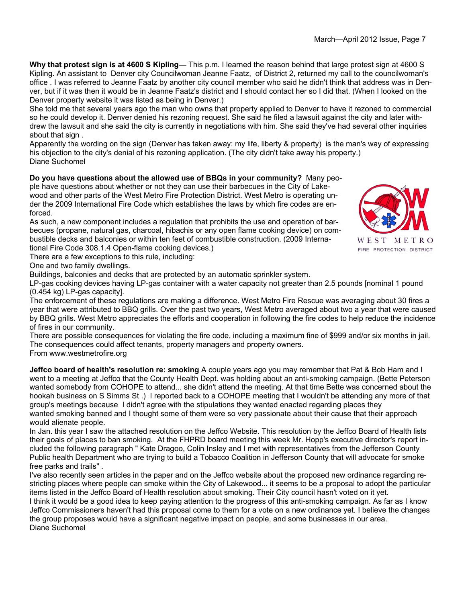**Why that protest sign is at 4600 S Kipling—** This p.m. I learned the reason behind that large protest sign at 4600 S Kipling. An assistant to Denver city Councilwoman Jeanne Faatz, of District 2, returned my call to the councilwoman's office . I was referred to Jeanne Faatz by another city council member who said he didn't think that address was in Denver, but if it was then it would be in Jeanne Faatz's district and I should contact her so I did that. (When I looked on the Denver property website it was listed as being in Denver.)

She told me that several years ago the man who owns that property applied to Denver to have it rezoned to commercial so he could develop it. Denver denied his rezoning request. She said he filed a lawsuit against the city and later withdrew the lawsuit and she said the city is currently in negotiations with him. She said they've had several other inquiries about that sign .

Apparently the wording on the sign (Denver has taken away: my life, liberty & property) is the man's way of expressing his objection to the city's denial of his rezoning application. (The city didn't take away his property.) Diane Suchomel

**Do you have questions about the allowed use of BBQs in your community?** Many people have questions about whether or not they can use their barbecues in the City of Lakewood and other parts of the West Metro Fire Protection District. West Metro is operating under the 2009 International Fire Code which establishes the laws by which fire codes are enforced.

As such, a new component includes a regulation that prohibits the use and operation of barbecues (propane, natural gas, charcoal, hibachis or any open flame cooking device) on combustible decks and balconies or within ten feet of combustible construction. (2009 International Fire Code 308.1.4 Open-flame cooking devices.)



WEST METRO FIRE PROTECTION DISTRICT

There are a few exceptions to this rule, including:

One and two family dwellings.

Buildings, balconies and decks that are protected by an automatic sprinkler system.

LP-gas cooking devices having LP-gas container with a water capacity not greater than 2.5 pounds [nominal 1 pound (0.454 kg) LP-gas capacity].

The enforcement of these regulations are making a difference. West Metro Fire Rescue was averaging about 30 fires a year that were attributed to BBQ grills. Over the past two years, West Metro averaged about two a year that were caused by BBQ grills. West Metro appreciates the efforts and cooperation in following the fire codes to help reduce the incidence of fires in our community.

There are possible consequences for violating the fire code, including a maximum fine of \$999 and/or six months in jail. The consequences could affect tenants, property managers and property owners.

From www.westmetrofire.org

**Jeffco board of health's resolution re: smoking** A couple years ago you may remember that Pat & Bob Ham and I went to a meeting at Jeffco that the County Health Dept. was holding about an anti-smoking campaign. (Bette Peterson wanted somebody from COHOPE to attend... she didn't attend the meeting. At that time Bette was concerned about the hookah business on S Simms St .) I reported back to a COHOPE meeting that I wouldn't be attending any more of that group's meetings because I didn't agree with the stipulations they wanted enacted regarding places they wanted smoking banned and I thought some of them were so very passionate about their cause that their approach would alienate people.

In Jan. this year I saw the attached resolution on the Jeffco Website. This resolution by the Jeffco Board of Health lists their goals of places to ban smoking. At the FHPRD board meeting this week Mr. Hopp's executive director's report included the following paragraph " Kate Dragoo, Colin Insley and I met with representatives from the Jefferson County Public health Department who are trying to build a Tobacco Coalition in Jefferson County that will advocate for smoke free parks and trails" .

I've also recently seen articles in the paper and on the Jeffco website about the proposed new ordinance regarding restricting places where people can smoke within the City of Lakewood... it seems to be a proposal to adopt the particular items listed in the Jeffco Board of Health resolution about smoking. Their City council hasn't voted on it yet. I think it would be a good idea to keep paying attention to the progress of this anti-smoking campaign. As far as I know Jeffco Commissioners haven't had this proposal come to them for a vote on a new ordinance yet. I believe the changes the group proposes would have a significant negative impact on people, and some businesses in our area. Diane Suchomel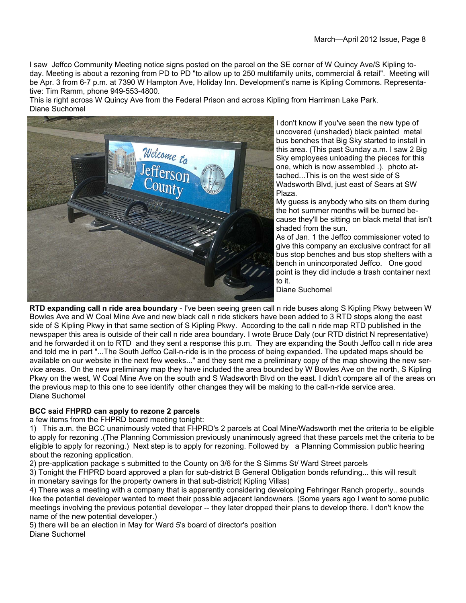I saw Jeffco Community Meeting notice signs posted on the parcel on the SE corner of W Quincy Ave/S Kipling today. Meeting is about a rezoning from PD to PD "to allow up to 250 multifamily units, commercial & retail". Meeting will be Apr. 3 from 6-7 p.m. at 7390 W Hampton Ave, Holiday Inn. Development's name is Kipling Commons. Representative: Tim Ramm, phone 949-553-4800.

This is right across W Quincy Ave from the Federal Prison and across Kipling from Harriman Lake Park. Diane Suchomel



I don't know if you've seen the new type of uncovered (unshaded) black painted metal bus benches that Big Sky started to install in this area. (This past Sunday a.m. I saw 2 Big Sky employees unloading the pieces for this one, which is now assembled .). photo attached...This is on the west side of S Wadsworth Blvd, just east of Sears at SW Plaza.

My guess is anybody who sits on them during the hot summer months will be burned because they'll be sitting on black metal that isn't shaded from the sun.

As of Jan. 1 the Jeffco commissioner voted to give this company an exclusive contract for all bus stop benches and bus stop shelters with a bench in unincorporated Jeffco. One good point is they did include a trash container next to it.

Diane Suchomel

**RTD expanding call n ride area boundary** - I've been seeing green call n ride buses along S Kipling Pkwy between W Bowles Ave and W Coal Mine Ave and new black call n ride stickers have been added to 3 RTD stops along the east side of S Kipling Pkwy in that same section of S Kipling Pkwy. According to the call n ride map RTD published in the newspaper this area is outside of their call n ride area boundary. I wrote Bruce Daly (our RTD district N representative) and he forwarded it on to RTD and they sent a response this p.m. They are expanding the South Jeffco call n ride area and told me in part "...The South Jeffco Call-n-ride is in the process of being expanded. The updated maps should be available on our website in the next few weeks..." and they sent me a preliminary copy of the map showing the new service areas. On the new preliminary map they have included the area bounded by W Bowles Ave on the north, S Kipling Pkwy on the west, W Coal Mine Ave on the south and S Wadsworth Blvd on the east. I didn't compare all of the areas on the previous map to this one to see identify other changes they will be making to the call-n-ride service area. Diane Suchomel

#### **BCC said FHPRD can apply to rezone 2 parcels**

a few items from the FHPRD board meeting tonight:

1) This a.m. the BCC unanimously voted that FHPRD's 2 parcels at Coal Mine/Wadsworth met the criteria to be eligible to apply for rezoning .(The Planning Commission previously unanimously agreed that these parcels met the criteria to be eligible to apply for rezoning.) Next step is to apply for rezoning. Followed by a Planning Commission public hearing about the rezoning application.

2) pre-application package s submitted to the County on 3/6 for the S Simms St/ Ward Street parcels

3) Tonight the FHPRD board approved a plan for sub-district B General Obligation bonds refunding... this will result in monetary savings for the property owners in that sub-district( Kipling Villas)

4) There was a meeting with a company that is apparently considering developing Fehringer Ranch property.. sounds like the potential developer wanted to meet their possible adjacent landowners. (Some years ago I went to some public meetings involving the previous potential developer -- they later dropped their plans to develop there. I don't know the name of the new potential developer.)

5) there will be an election in May for Ward 5's board of director's position Diane Suchomel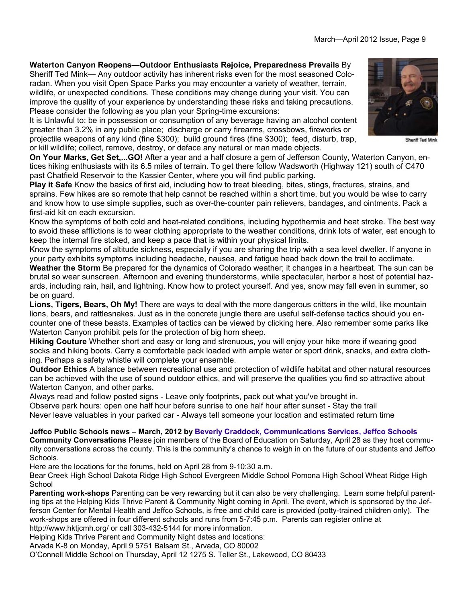**Waterton Canyon Reopens—Outdoor Enthusiasts Rejoice, Preparedness Prevails** By Sheriff Ted Mink— Any outdoor activity has inherent risks even for the most seasoned Coloradan. When you visit Open Space Parks you may encounter a variety of weather, terrain, wildlife, or unexpected conditions. These conditions may change during your visit. You can improve the quality of your experience by understanding these risks and taking precautions. Please consider the following as you plan your Spring-time excursions:

It is Unlawful to: be in possession or consumption of any beverage having an alcohol content greater than 3.2% in any public place; discharge or carry firearms, crossbows, fireworks or projectile weapons of any kind (fine \$300); build ground fires (fine \$300); feed, disturb, trap, or kill wildlife; collect, remove, destroy, or deface any natural or man made objects.

**On Your Marks, Get Set,...GO!** After a year and a half closure a gem of Jefferson County, Waterton Canyon, entices hiking enthusiasts with its 6.5 miles of terrain. To get there follow Wadsworth (Highway 121) south of C470 past Chatfield Reservoir to the Kassier Center, where you will find public parking.

**Play it Safe** Know the basics of first aid, including how to treat bleeding, bites, stings, fractures, strains, and sprains. Few hikes are so remote that help cannot be reached within a short time, but you would be wise to carry and know how to use simple supplies, such as over-the-counter pain relievers, bandages, and ointments. Pack a first-aid kit on each excursion.

Know the symptoms of both cold and heat-related conditions, including hypothermia and heat stroke. The best way to avoid these afflictions is to wear clothing appropriate to the weather conditions, drink lots of water, eat enough to keep the internal fire stoked, and keep a pace that is within your physical limits.

Know the symptoms of altitude sickness, especially if you are sharing the trip with a sea level dweller. If anyone in your party exhibits symptoms including headache, nausea, and fatigue head back down the trail to acclimate.

**Weather the Storm** Be prepared for the dynamics of Colorado weather; it changes in a heartbeat. The sun can be brutal so wear sunscreen. Afternoon and evening thunderstorms, while spectacular, harbor a host of potential hazards, including rain, hail, and lightning. Know how to protect yourself. And yes, snow may fall even in summer, so be on guard.

**Lions, Tigers, Bears, Oh My!** There are ways to deal with the more dangerous critters in the wild, like mountain lions, bears, and rattlesnakes. Just as in the concrete jungle there are useful self-defense tactics should you encounter one of these beasts. Examples of tactics can be viewed by clicking here. Also remember some parks like Waterton Canyon prohibit pets for the protection of big horn sheep.

**Hiking Couture** Whether short and easy or long and strenuous, you will enjoy your hike more if wearing good socks and hiking boots. Carry a comfortable pack loaded with ample water or sport drink, snacks, and extra clothing. Perhaps a safety whistle will complete your ensemble.

**Outdoor Ethics** A balance between recreational use and protection of wildlife habitat and other natural resources can be achieved with the use of sound outdoor ethics, and will preserve the qualities you find so attractive about Waterton Canyon, and other parks.

Always read and follow posted signs - Leave only footprints, pack out what you've brought in. Observe park hours: open one half hour before sunrise to one half hour after sunset - Stay the trail Never leave valuables in your parked car - Always tell someone your location and estimated return time

#### **Jeffco Public Schools news – March, 2012 by Beverly Craddock, Communications Services, Jeffco Schools**

**Community Conversations** Please join members of the Board of Education on Saturday, April 28 as they host community conversations across the county. This is the community's chance to weigh in on the future of our students and Jeffco Schools.

Here are the locations for the forums, held on April 28 from 9-10:30 a.m.

Bear Creek High School Dakota Ridge High School Evergreen Middle School Pomona High School Wheat Ridge High School

**Parenting work-shops** Parenting can be very rewarding but it can also be very challenging. Learn some helpful parenting tips at the Helping Kids Thrive Parent & Community Night coming in April. The event, which is sponsored by the Jefferson Center for Mental Health and Jeffco Schools, is free and child care is provided (potty-trained children only). The work-shops are offered in four different schools and runs from 5-7:45 p.m. Parents can register online at http://www.hktjcmh.org/ or call 303-432-5144 for more information.

Helping Kids Thrive Parent and Community Night dates and locations:

Arvada K-8 on Monday, April 9 5751 Balsam St., Arvada, CO 80002

O'Connell Middle School on Thursday, April 12 1275 S. Teller St., Lakewood, CO 80433

Sheriff Ted Mink